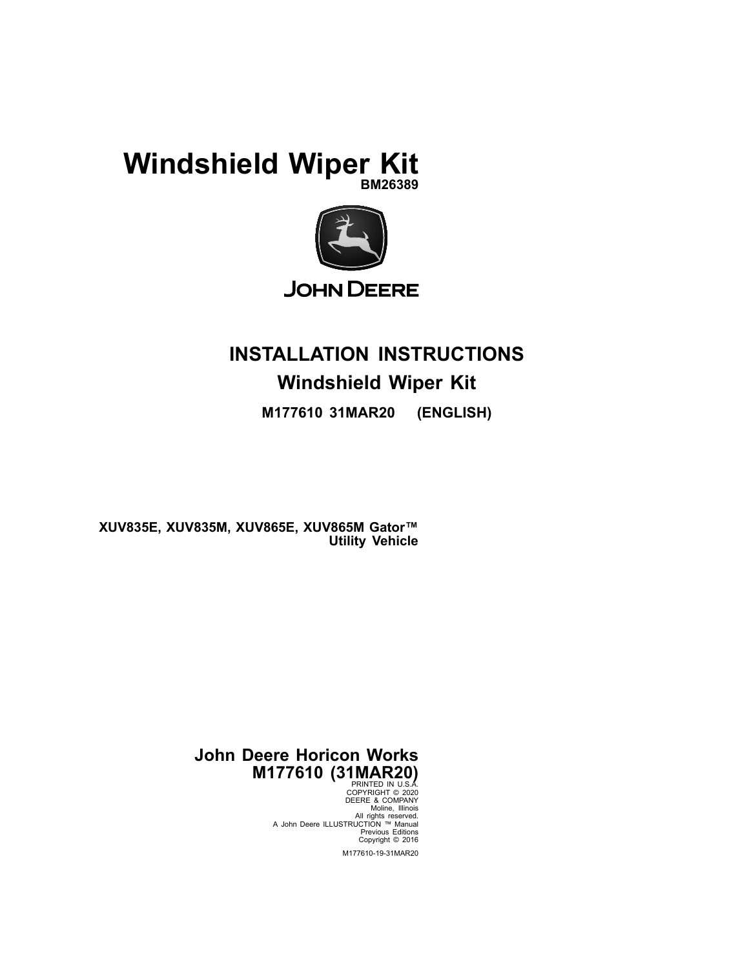## **Windshield Wiper Kit BM26389**



# **INSTALLATION INSTRUCTIONS Windshield Wiper Kit**

**M177610 31MAR20 (ENGLISH)**

**XUV835E, XUV835M, XUV865E, XUV865M Gator™ Utility Vehicle**

## **John Deere Horicon Works M177610 (31MAR20)**

PRINTED IN U.S.A. COPYRIGHT © 2020 DEERE & COMPANY<br>Moline, Illinois<br>All rights reserved.<br>A John Deere ILLUSTRUCTION ™ Manual Previous Editions Copyright © 2016 M177610-19-31MAR20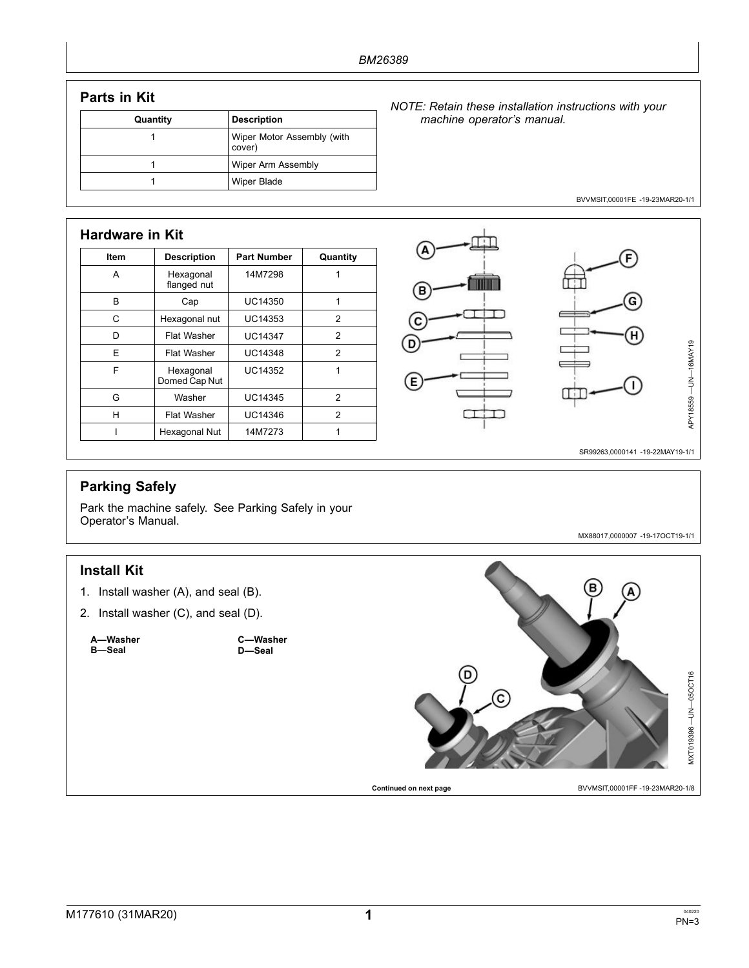### **Parts in Kit**

| Quantity | <b>Description</b>                   |
|----------|--------------------------------------|
|          | Wiper Motor Assembly (with<br>cover) |
|          | Wiper Arm Assembly                   |
|          | Wiper Blade                          |

#### *NOTE: Retain these installation instructions with your machine operator's manual.*

BVVMSIT,00001FE -19-23MAR20-1/1

| Item | <b>Description</b>         | <b>Part Number</b> | Quantity      |
|------|----------------------------|--------------------|---------------|
| A    | Hexagonal<br>flanged nut   | 14M7298            |               |
| B    | Cap                        | UC14350            | 1             |
| C    | Hexagonal nut              | UC14353            | 2             |
| D    | Flat Washer                | <b>UC14347</b>     | 2             |
| F    | Flat Washer                | <b>UC14348</b>     | $\mathcal{P}$ |
| F    | Hexagonal<br>Domed Cap Nut | UC14352            | 1             |
| G    | Washer                     | <b>UC14345</b>     | 2             |
| н    | Flat Washer                | UC14346            | $\mathcal{P}$ |
|      | Hexagonal Nut              | 14M7273            |               |



SR99263,0000141 -19-22MAY19-1/1

MX88017,0000007 -19-17OCT19-1/1

## **Parking Safely**

Park the machine safely. See Parking Safely in your Operator's Manual.

#### **Install Kit**

- 1. Install washer (A), and seal (B).
- 2. Install washer (C), and seal (D).

**A—Washer B—Seal**

**C—Washer D—Seal**



**Continued on next page** BVVMSIT,00001FF -19-23MAR20-1/8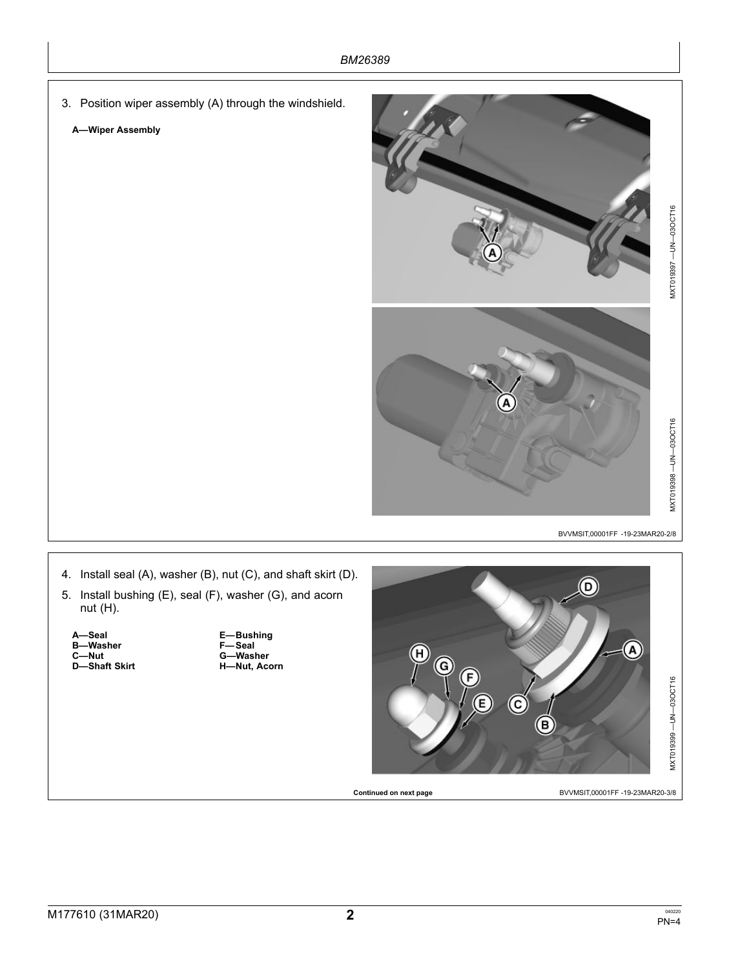3. Position wiper assembly (A) through the windshield.

#### **A—Wiper Assembly**



BVVMSIT,00001FF -19-23MAR20-2/8



- 4. Install seal (A), washer (B), nut (C), and shaft skirt (D).
- 5. Install bushing (E), seal (F), washer (G), and acorn nut (H).
	- **A—Seal B—Washer C—Nut D—Shaft Skirt**

**E—Bushing F—Seal G—Washer H—Nut, Acorn**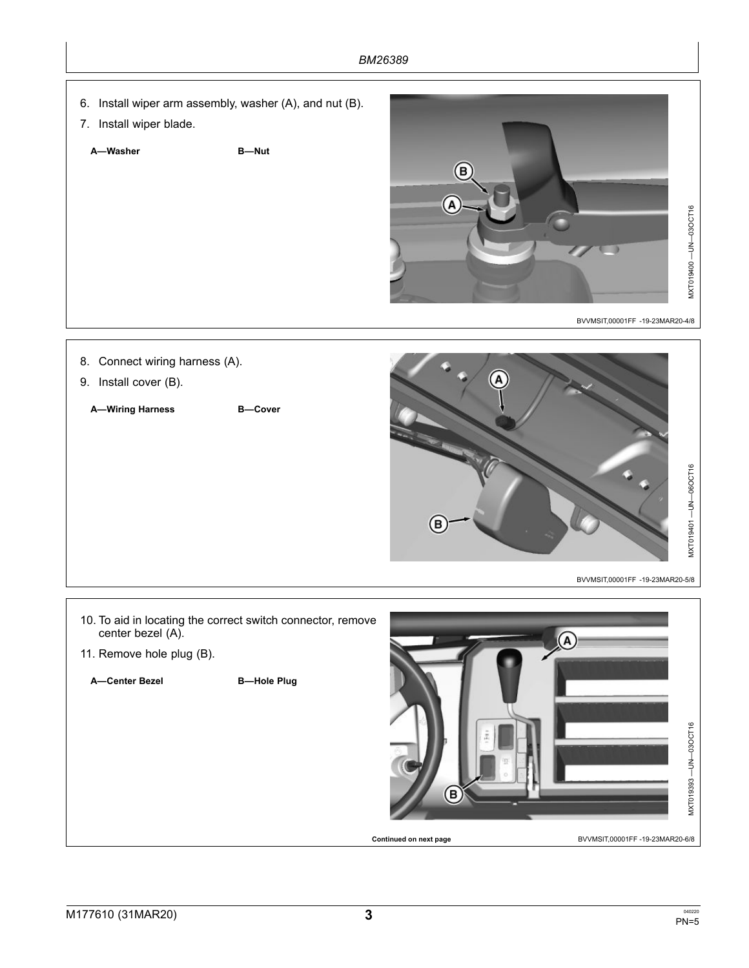- 6. Install wiper arm assembly, washer (A), and nut (B).
- 7. Install wiper blade.

**A—Washer B—Nut**



BVVMSIT,00001FF -19-23MAR20-4/8



- 10. To aid in locating the correct switch connector, remove center bezel (A).
- 11. Remove hole plug (B).

**A—Center Bezel B—Hole Plug**

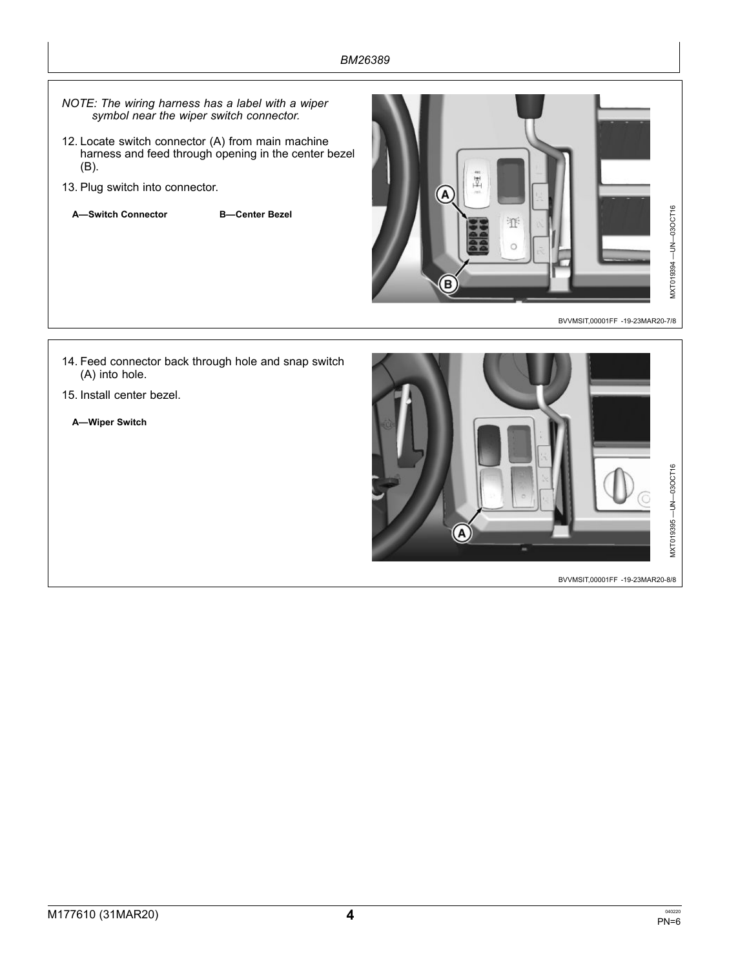- *NOTE: The wiring harness has <sup>a</sup> label with <sup>a</sup> wiper symbol near the wiper switch connector.*
- 12. Locate switch connector (A) from main machine harness and feed through opening in the center bezel (B).
- 13. Plug switch into connector.
	- **A—Switch Connector B—Center Bezel**



BVVMSIT,00001FF -19-23MAR20-7/8

- 14. Feed connector back through hole and snap switch (A) into hole.
- 15. Install center bezel.
	- **A—Wiper Switch**